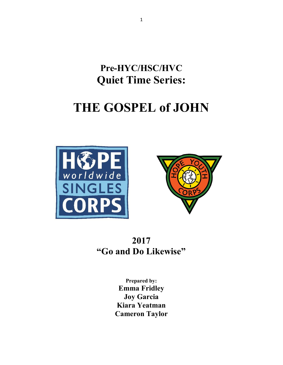Pre-HYC/HSC/HVC Quiet Time Series:

# THE GOSPEL of JOHN





# 2017 "Go and Do Likewise"

Prepared by: Emma Fridley Joy Garcia Kiara Yeatman Cameron Taylor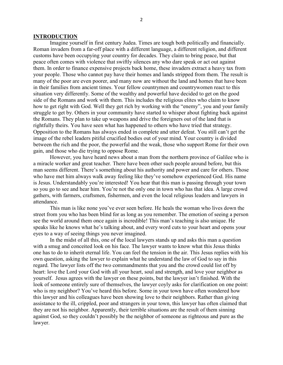#### INTRODUCTION

Imagine yourself in first century Judea. Times are tough both politically and financially. Roman invaders from a far-off place with a different language, a different religion, and different customs have been occupying your country for decades. They claim to bring peace, but that peace often comes with violence that swiftly silences any who dare speak or act out against them. In order to finance expensive projects back home, these invaders extract a heavy tax from your people. Those who cannot pay have their homes and lands stripped from them. The result is many of the poor are even poorer, and many now are without the land and homes that have been in their families from ancient times. Your fellow countrymen and countrywomen react to this situation very differently. Some of the wealthy and powerful have decided to get on the good side of the Romans and work with them. This includes the religious elites who claim to know how to get right with God. Well they get rich by working with the "enemy", you and your family struggle to get by. Others in your community have started to whisper about fighting back against the Romans. They plan to take up weapons and drive the foreigners out of the land that is rightfully theirs. You have seen what has happened to others who have tried that strategy. Opposition to the Romans has always ended in complete and utter defeat. You still can't get the image of the rebel leaders pitiful crucified bodies out of your mind. Your country is divided between the rich and the poor, the powerful and the weak, those who support Rome for their own gain, and those who die trying to oppose Rome.

However, you have heard news about a man from the northern province of Galilee who is a miracle worker and great teacher. There have been other such people around before, but this man seems different. There's something about his authority and power and care for others. Those who have met him always walk away feeling like they've somehow experienced God. His name is Jesus. Understandably you're interested! You hear that this man is passing through your town so you go to see and hear him. You're not the only one in town who has that idea. A large crowd gathers, with farmers, craftsmen, fishermen, and even the local religious leaders and lawyers in attendance.

This man is like none you've ever seen before. He heals the woman who lives down the street from you who has been blind for as long as you remember. The emotion of seeing a person see the world around them once again is incredible! This man's teaching is also unique. He speaks like he knows what he's talking about, and every word cuts to your heart and opens your eyes to a way of seeing things you never imagined.

In the midst of all this, one of the local lawyers stands up and asks this man a question with a smug and conceited look on his face. The lawyer wants to know what this Jesus thinks one has to do to inherit eternal life. You can feel the tension in the air. This Jesus replies with his own question, asking the lawyer to explain what he understand the law of God to say in this regard. The lawyer lists off the two commandments that you and the crowd could list off by heart: love the Lord your God with all your heart, soul and strength, and love your neighbor as yourself. Jesus agrees with the lawyer on these points, but the lawyer isn't finished. With the look of someone entirely sure of themselves, the lawyer coyly asks for clarification on one point: who is my neighbor? You've heard this before. Some in your town have often wondered how this lawyer and his colleagues have been showing love to their neighbors. Rather than giving assistance to the ill, crippled, poor and strangers in your town, this lawyer has often claimed that they are not his neighbor. Apparently, their terrible situations are the result of them sinning against God, so they couldn't possibly be the neighbor of someone as righteous and pure as the lawyer.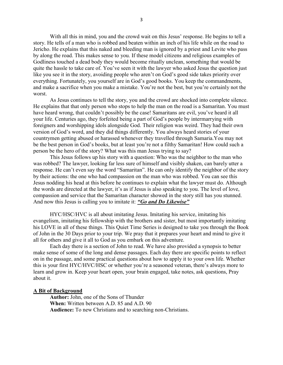With all this in mind, you and the crowd wait on this Jesus' response. He begins to tell a story. He tells of a man who is robbed and beaten within an inch of his life while on the road to Jericho. He explains that this naked and bleeding man is ignored by a priest and Levite who pass by along the road. This makes sense to you. If these model citizens and religious examples of Godliness touched a dead body they would become ritually unclean, something that would be quite the hassle to take care of. You've seen it with the lawyer who asked Jesus the question just like you see it in the story, avoiding people who aren't on God's good side takes priority over everything. Fortunately, you yourself are in God's good books. You keep the commandments, and make a sacrifice when you make a mistake. You're not the best, but you're certainly not the worst.

As Jesus continues to tell the story, you and the crowd are shocked into complete silence. He explains that that only person who stops to help the man on the road is a Samaritan. You must have heard wrong, that couldn't possibly be the case! Samaritans are evil, you've heard it all your life. Centuries ago, they forfeited being a part of God's people by intermarrying with foreigners and worshipping idols alongside God. Their religion was weird. They had their own version of God's word, and they did things differently. You always heard stories of your countrymen getting abused or harassed whenever they travelled through Samaria.You may not be the best person in God's books, but at least you're not a filthy Samaritan! How could such a person be the hero of the story? What was this man Jesus trying to say?

This Jesus follows up his story with a question: Who was the neighbor to the man who was robbed? The lawyer, looking far less sure of himself and visibly shaken, can barely utter a response. He can't even say the word "Samaritan". He can only identify the neighbor of the story by their actions: the one who had compassion on the man who was robbed. You can see this Jesus nodding his head at this before he continues to explain what the lawyer must do. Although the words are directed at the lawyer, it's as if Jesus is also speaking to you. The level of love, compassion and service that the Samaritan character showed in the story still has you stunned. And now this Jesus is calling you to imitate it: "Go and Do Likewise"

HYC/HSC/HVC is all about imitating Jesus. Imitating his service, imitating his evangelism, imitating his fellowship with the brothers and sister, but most importantly imitating his LOVE in all of these things. This Quiet Time Series is designed to take you through the Book of John in the 30 Days prior to your trip. We pray that it prepares your heart and mind to give it all for others and give it all to God as you embark on this adventure.

Each day there is a section of John to read. We have also provided a synopsis to better make sense of some of the long and dense passages. Each day there are specific points to reflect on in the passage, and some practical questions about how to apply it to your own life. Whether this is your first HYC/HVC/HSC or whether you're a seasoned veteran, there's always more to learn and grow in. Keep your heart open, your brain engaged, take notes, ask questions, Pray about it.

#### A Bit of Background

Author: John, one of the Sons of Thunder When: Written between A.D. 85 and A.D. 90 Audience: To new Christians and to searching non-Christians.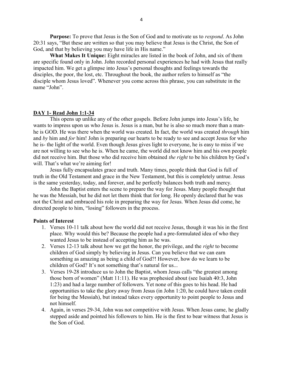**Purpose:** To prove that Jesus is the Son of God and to motivate us to *respond*. As John 20:31 says, "But these are written so that you may believe that Jesus is the Christ, the Son of God, and that by believing you may have life in His name."

What Makes It Unique: Eight miracles are listed in the book of John, and six of them are specific found only in John. John recorded personal experiences he had with Jesus that really impacted him. We get a glimpse into Jesus's personal thoughts and feelings towards the disciples, the poor, the lost, etc. Throughout the book, the author refers to himself as "the disciple whom Jesus loved". Whenever you come across this phrase, you can substitute in the name "John".

#### DAY 1- Read John 1:1-34

This opens up unlike any of the other gospels. Before John jumps into Jesus's life, he wants to impress upon us who Jesus is. Jesus is a man, but he is also so much more than a manhe is GOD. He was there when the world was created. In fact, the world was created through him and by him and for him! John is preparing our hearts to be ready to see and accept Jesus for who he is- the light of the world. Even though Jesus gives light to everyone, he is easy to miss if we are not willing to see who he is. When he came, the world did not know him and his own people did not receive him. But those who did receive him obtained the right to be his children by God's will. That's what we're aiming for!

Jesus fully encapsulates grace and truth. Many times, people think that God is full of truth in the Old Testament and grace in the New Testament, but this is completely untrue. Jesus is the same yesterday, today, and forever, and he perfectly balances both truth and mercy.

John the Baptist enters the scene to prepare the way for Jesus. Many people thought that he was the Messiah, but he did not let them think that for long. He openly declared that he was not the Christ and embraced his role in preparing the way for Jesus. When Jesus did come, he directed people to him, "losing" followers in the process.

- 1. Verses 10-11 talk about how the world did not receive Jesus, though it was his in the first place. Why would this be? Because the people had a pre-formulated idea of who they wanted Jesus to be instead of accepting him as he was.
- 2. Verses 12-13 talk about how we get the honor, the privilege, and the right to become children of God simply by believing in Jesus. Can you believe that we can earn something as amazing as being a child of God?! However, how do we learn to be children of God? It's not something that's natural for us...
- 3. Verses 19-28 introduce us to John the Baptist, whom Jesus calls "the greatest among those born of women" (Matt 11:11). He was prophesied about (see Isaiah 40:3, John 1:23) and had a large number of followers. Yet none of this goes to his head. He had opportunities to take the glory away from Jesus (in John 1:20, he could have taken credit for being the Messiah), but instead takes every opportunity to point people to Jesus and not himself.
- 4. Again, in verses 29-34, John was not competitive with Jesus. When Jesus came, he gladly stepped aside and pointed his followers to him. He is the first to bear witness that Jesus is the Son of God.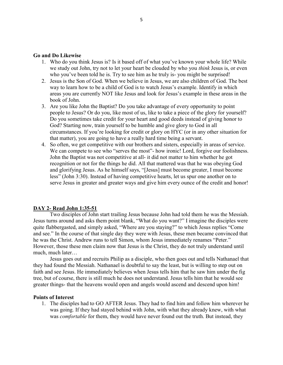#### Go and Do Likewise

- 1. Who do you think Jesus is? Is it based off of what you've known your whole life? While we study out John, try not to let your heart be clouded by who you *think* Jesus is, or even who you've been told he is. Try to see him as he truly is-you might be surprised!
- 2. Jesus is the Son of God. When we believe in Jesus, we are also children of God. The best way to learn how to be a child of God is to watch Jesus's example. Identify in which areas you are currently NOT like Jesus and look for Jesus's example in these areas in the book of John.
- 3. Are you like John the Baptist? Do you take advantage of every opportunity to point people to Jesus? Or do you, like most of us, like to take a piece of the glory for yourself? Do you sometimes take credit for your heart and good deeds instead of giving honor to God? Starting now, train yourself to be humble and give glory to God in all circumstances. If you're looking for credit or glory on HYC (or in any other situation for that matter), you are going to have a really hard time being a servant.
- 4. So often, we get competitive with our brothers and sisters, especially in areas of service. We can compete to see who "serves the most"- how ironic! Lord, forgive our foolishness. John the Baptist was not competitive at all- it did not matter to him whether he got recognition or not for the things he did. All that mattered was that he was obeying God and glorifying Jesus. As he himself says, "[Jesus] must become greater, I must become less" (John 3:30). Instead of having competitive hearts, let us spur one another on to serve Jesus in greater and greater ways and give him every ounce of the credit and honor!

#### DAY 2- Read John 1:35-51

Two disciples of John start trailing Jesus because John had told them he was the Messiah. Jesus turns around and asks them point blank, "What do you want?" I imagine the disciples were quite flabbergasted, and simply asked, "Where are you staying?" to which Jesus replies "Come and see." In the course of that single day they were with Jesus, these men became convinced that he was the Christ. Andrew runs to tell Simon, whom Jesus immediately renames "Peter." However, those these men claim now that Jesus is the Christ, they do not truly understand until much, much later…

Jesus goes out and recruits Philip as a disciple, who then goes out and tells Nathanael that they had found the Messiah. Nathanael is doubtful to say the least, but is willing to step out on faith and see Jesus. He immediately believes when Jesus tells him that he saw him under the fig tree, but of course, there is still much he does not understand. Jesus tells him that he would see greater things- that the heavens would open and angels would ascend and descend upon him!

#### Points of Interest

1. The disciples had to GO AFTER Jesus. They had to find him and follow him wherever he was going. If they had stayed behind with John, with what they already knew, with what was *comfortable* for them, they would have never found out the truth. But instead, they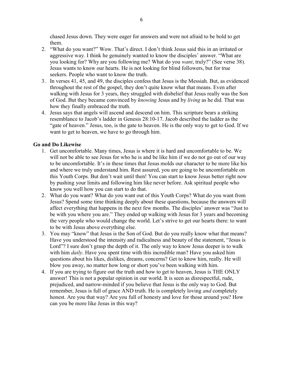chased Jesus down. They were eager for answers and were not afraid to be bold to get them.

- 2. "What do you want?" Wow. That's direct. I don't think Jesus said this in an irritated or aggressive way. I think he genuinely wanted to know the disciples' answer. "What are you looking for? Why are you following me? What do you *want*, truly?" (See verse 38). Jesus wants to know our hearts. He is not looking for blind followers, but for true seekers. People who want to know the truth.
- 3. In verses 41, 45, and 49, the disciples confess that Jesus is the Messiah. But, as evidenced throughout the rest of the gospel, they don't quite know what that means. Even after walking with Jesus for 3 years, they struggled with disbelief that Jesus really was the Son of God. But they became convinced by *knowing* Jesus and by *living* as he did. That was how they finally embraced the truth.
- 4. Jesus says that angels will ascend and descend on him. This scripture bears a striking resemblance to Jacob's ladder in Genesis 28:10-17. Jacob described the ladder as the "gate of heaven." Jesus, too, is the gate to heaven. He is the only way to get to God. If we want to get to heaven, we have to go through him.

#### Go and Do Likewise

- 1. Get uncomfortable. Many times, Jesus is where it is hard and uncomfortable to be. We will not be able to see Jesus for who he is and be like him if we do not go out of our way to be uncomfortable. It's in these times that Jesus molds our character to be more like his and where we truly understand him. Rest assured, you are going to be uncomfortable on this Youth Corps. But don't wait until then! You can start to know Jesus better right now by pushing your limits and following him like never before. Ask spiritual people who know you well how you can start to do that.
- 2. What do you want? What do you want out of this Youth Corps? What do you want from Jesus? Spend some time thinking deeply about these questions, because the answers will affect everything that happens in the next few months. The disciples' answer was "Just to be with you where you are." They ended up walking with Jesus for 3 years and becoming the very people who would change the world. Let's strive to get our hearts there: to want to be with Jesus above everything else.
- 3. You may "know" that Jesus is the Son of God. But do you really know what that means? Have you understood the intensity and radicalness and beauty of the statement, "Jesus is Lord"? I sure don't grasp the depth of it. The only way to know Jesus deeper is to walk with him *daily*. Have you spent time with this incredible man? Have you asked him questions about his likes, dislikes, dreams, concerns? Get to know him, really. He will blow you away, no matter how long or short you've been walking with him.
- 4. If you are trying to figure out the truth and how to get to heaven, Jesus is THE ONLY answer! This is not a popular opinion in our world. It is seen as disrespectful, rude, prejudiced, and narrow-minded if you believe that Jesus is the only way to God. But remember, Jesus is full of grace AND truth. He is completely loving *and* completely honest. Are you that way? Are you full of honesty and love for those around you? How can you be more like Jesus in this way?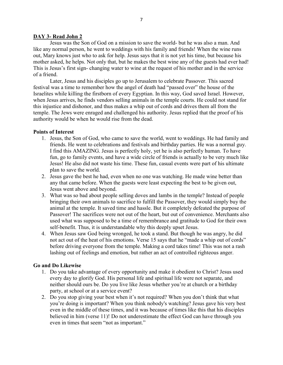#### DAY 3- Read John 2

Jesus was the Son of God on a mission to save the world- but he was also a man. And like any normal person, he went to weddings with his family and friends! When the wine runs out, Mary knows just who to ask for help. Jesus says that it is not yet his time, but because his mother asked, he helps. Not only that, but he makes the best wine any of the guests had ever had! This is Jesus's first sign- changing water to wine at the request of his mother and in the service of a friend.

Later, Jesus and his disciples go up to Jerusalem to celebrate Passover. This sacred festival was a time to remember how the angel of death had "passed over" the house of the Israelites while killing the firstborn of every Egyptian. In this way, God saved Israel. However, when Jesus arrives, he finds vendors selling animals in the temple courts. He could not stand for this injustice and dishonor, and thus makes a whip out of cords and drives them all from the temple. The Jews were enraged and challenged his authority. Jesus replied that the proof of his authority would be when he would rise from the dead.

#### Points of Interest

- 1. Jesus, the Son of God, who came to save the world, went to weddings. He had family and friends. He went to celebrations and festivals and birthday parties. He was a normal guy. I find this AMAZING. Jesus is perfectly holy, yet he is also perfectly human. To have fun, go to family events, and have a wide circle of friends is actually to be very much like Jesus! He also did not waste his time. These fun, casual events were part of his ultimate plan to save the world.
- 2. Jesus gave the best he had, even when no one was watching. He made wine better than any that came before. When the guests were least expecting the best to be given out, Jesus went above and beyond.
- 3. What was so bad about people selling doves and lambs in the temple? Instead of people bringing their own animals to sacrifice to fulfill the Passover, they would simply buy the animal at the temple. It saved time and hassle. But it completely defeated the purpose of Passover! The sacrifices were not out of the heart, but out of convenience. Merchants also used what was supposed to be a time of remembrance and gratitude to God for their own self-benefit. Thus, it is understandable why this deeply upset Jesus.
- 4. When Jesus saw God being wronged, he took a stand. But though he was angry, he did not act out of the heat of his emotions. Verse 15 says that he "made a whip out of cords" before driving everyone from the temple. Making a cord takes time! This was not a rash lashing out of feelings and emotion, but rather an act of controlled righteous anger.

# Go and Do Likewise

- 1. Do you take advantage of every opportunity and make it obedient to Christ? Jesus used every day to glorify God. His personal life and spiritual life were not separate, and neither should ours be. Do you live like Jesus whether you're at church or a birthday party, at school or at a service event?
- 2. Do you stop giving your best when it's not required? When you don't think that what you're doing is important? When you think nobody's watching? Jesus gave his very best even in the middle of these times, and it was because of times like this that his disciples believed in him (verse 11)! Do not underestimate the effect God can have through you even in times that seem "not as important."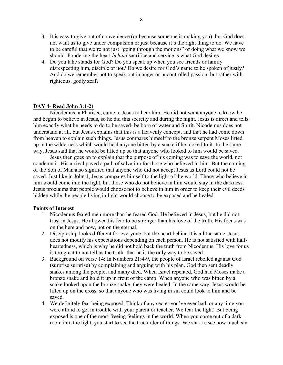- 3. It is easy to give out of convenience (or because someone is making you), but God does not want us to give under compulsion or just because it's the right thing to do. We have to be careful that we're not just "going through the motions" or doing what we know we should. Pondering the heart *behind* sacrifice and service is what God desires.
- 4. Do you take stands for God? Do you speak up when you see friends or family disrespecting him, disciple or not? Do we desire for God's name to be spoken of justly? And do we remember not to speak out in anger or uncontrolled passion, but rather with righteous, godly zeal?

#### DAY 4- Read John 3:1-21

Nicodemus, a Pharisee, came to Jesus to hear him. He did not want anyone to know he had begun to believe in Jesus, so he did this secretly and during the night. Jesus is direct and tells him exactly what he needs to do to be saved- be born of water and Spirit. Nicodemus does not understand at all, but Jesus explains that this is a heavenly concept, and that he had come down from heaven to explain such things. Jesus compares himself to the bronze serpent Moses lifted up in the wilderness which would heal anyone bitten by a snake if he looked to it. In the same way, Jesus said that he would be lifted up so that anyone who looked to him would be saved.

Jesus then goes on to explain that the purpose of his coming was to save the world, not condemn it. His arrival paved a path of salvation for those who believed in him. But the coming of the Son of Man also signified that anyone who did not accept Jesus as Lord could not be saved. Just like in John 1, Jesus compares himself to the light of the world. Those who believe in him would come into the light, but those who do not believe in him would stay in the darkness. Jesus proclaims that people would choose not to believe in him in order to keep their evil deeds hidden while the people living in light would choose to be exposed and be healed.

- 1. Nicodemus feared men more than he feared God. He believed in Jesus, but he did not trust in Jesus. He allowed his fear to be stronger than his love of the truth. His focus was on the here and now, not on the eternal.
- 2. Discipleship looks different for everyone, but the heart behind it is all the same. Jesus does not modify his expectations depending on each person. He is not satisfied with halfheartedness, which is why he did not hold back the truth from Nicodemus. His love for us is too great to not tell us the truth- that he is the only way to be saved.
- 3. Background on verse 14: In Numbers 21:4-9, the people of Israel rebelled against God (surprise surprise) by complaining and arguing with his plan. God then sent deadly snakes among the people, and many died. When Israel repented, God had Moses make a bronze snake and hold it up in front of the camp. When anyone who was bitten by a snake looked upon the bronze snake, they were healed. In the same way, Jesus would be lifted up on the cross, so that anyone who was living in sin could look to him and be saved.
- 4. We definitely fear being exposed. Think of any secret you've ever had, or any time you were afraid to get in trouble with your parent or teacher. We fear the light! But being exposed is one of the most freeing feelings in the world. When you come out of a dark room into the light, you start to see the true order of things. We start to see how much sin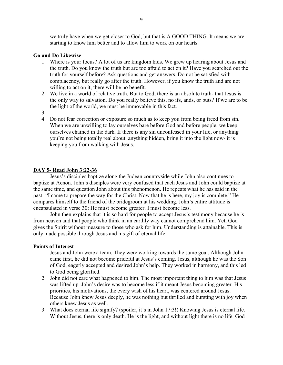we truly have when we get closer to God, but that is A GOOD THING. It means we are starting to know him better and to allow him to work on our hearts.

#### Go and Do Likewise

- 1. Where is your focus? A lot of us are kingdom kids. We grew up hearing about Jesus and the truth. Do you know the truth but are too afraid to act on it? Have you searched out the truth for yourself before? Ask questions and get answers. Do not be satisfied with complacency, but really go after the truth. However, if you know the truth and are not willing to act on it, there will be no benefit.
- 2. We live in a world of relative truth. But to God, there is an absolute truth- that Jesus is the only way to salvation. Do you really believe this, no ifs, ands, or buts? If we are to be the light of the world, we must be immovable in this fact.
- 3.
- 4. Do not fear correction or exposure so much as to keep you from being freed from sin. When we are unwilling to lay ourselves bare before God and before people, we keep ourselves chained in the dark. If there is any sin unconfessed in your life, or anything you're not being totally real about, anything hidden, bring it into the light now- it is keeping you from walking with Jesus.

# DAY 5- Read John 3:22-36

Jesus's disciples baptize along the Judean countryside while John also continues to baptize at Aenon. John's disciples were very confused that each Jesus and John could baptize at the same time, and question John about this phenomenon. He repeats what he has said in the past- "I came to prepare the way for the Christ. Now that he is here, my joy is complete." He compares himself to the friend of the bridegroom at his wedding. John's entire attitude is encapsulated in verse 30: He must become greater. I must become less.

John then explains that it is so hard for people to accept Jesus's testimony because he is from heaven and that people who think in an earthly way cannot comprehend him. Yet, God gives the Spirit without measure to those who ask for him. Understanding is attainable. This is only made possible through Jesus and his gift of eternal life.

- 1. Jesus and John were a team. They were working towards the same goal. Although John came first, he did not become prideful at Jesus's coming. Jesus, although he was the Son of God, eagerly accepted and desired John's help. They worked in harmony, and this led to God being glorified.
- 2. John did not care what happened to him. The most important thing to him was that Jesus was lifted up. John's desire was to become less if it meant Jesus becoming greater. His priorities, his motivations, the every wish of his heart, was centered around Jesus. Because John knew Jesus deeply, he was nothing but thrilled and bursting with joy when others knew Jesus as well.
- 3. What does eternal life signify? (spoiler, it's in John 17:3!) Knowing Jesus is eternal life. Without Jesus, there is only death. He is the light, and without light there is no life. God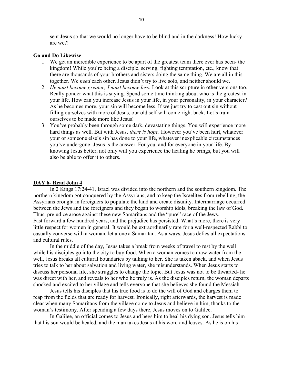sent Jesus so that we would no longer have to be blind and in the darkness! How lucky are we?!

#### Go and Do Likewise

- 1. We get an incredible experience to be apart of the greatest team there ever has been- the kingdom! While you're being a disciple, serving, fighting temptation, etc., know that there are thousands of your brothers and sisters doing the same thing. We are all in this together. We need each other. Jesus didn't try to live solo, and neither should we.
- 2. He must become greater; I must become less. Look at this scripture in other versions too. Really ponder what this is saying. Spend some time thinking about who is the greatest in your life. How can you increase Jesus in your life, in your personality, in your character? As he becomes more, your sin will become less. If we just try to cast out sin without filling ourselves with more of Jesus, our old self will come right back. Let's train ourselves to be made more like Jesus!
- 3. You've probably been through some dark, devastating things. You will experience more hard things as well. But with Jesus, there is hope. However you've been hurt, whatever your or someone else's sin has done to your life, whatever inexplicable circumstances you've undergone- Jesus is the answer. For you, and for everyone in your life. By knowing Jesus better, not only will you experience the healing he brings, but you will also be able to offer it to others.

#### DAY 6- Read John 4

In 2 Kings 17:24-41, Israel was divided into the northern and the southern kingdom. The northern kingdom got conquered by the Assyrians, and to keep the Israelites from rebelling, the Assyrians brought in foreigners to populate the land and create disunity. Intermarriage occurred between the Jews and the foreigners and they began to worship idols, breaking the law of God. Thus, prejudice arose against these new Samaritans and the "pure" race of the Jews. Fast forward a few hundred years, and the prejudice has persisted. What's more, there is very little respect for women in general. It would be extraordinarily rare for a well-respected Rabbi to casually converse with a woman, let alone a Samaritan. As always, Jesus defies all expectations and cultural rules.

In the middle of the day, Jesus takes a break from weeks of travel to rest by the well while his disciples go into the city to buy food. When a woman comes to draw water from the well, Jesus breaks all cultural boundaries by talking to her. She is taken aback, and when Jesus tries to talk to her about salvation and living water, she misunderstands. When Jesus starts to discuss her personal life, she struggles to change the topic. But Jesus was not to be thwarted- he was direct with her, and reveals to her who he truly is. As the disciples return, the woman departs shocked and excited to her village and tells everyone that she believes she found the Messiah.

Jesus tells his disciples that his true food is to do the will of God and charges them to reap from the fields that are ready for harvest. Ironically, right afterwards, the harvest is made clear when many Samaritans from the village come to Jesus and believe in him, thanks to the woman's testimony. After spending a few days there, Jesus moves on to Galilee.

In Galilee, an official comes to Jesus and begs him to heal his dying son. Jesus tells him that his son would be healed, and the man takes Jesus at his word and leaves. As he is on his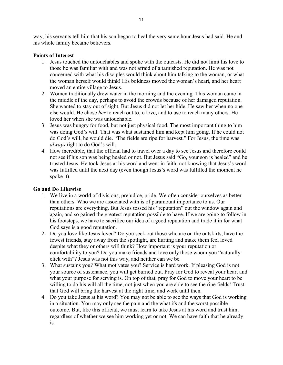way, his servants tell him that his son began to heal the very same hour Jesus had said. He and his whole family became believers.

# Points of Interest

- 1. Jesus touched the untouchables and spoke with the outcasts. He did not limit his love to those he was familiar with and was not afraid of a tarnished reputation. He was not concerned with what his disciples would think about him talking to the woman, or what the woman herself would think! His boldness moved the woman's heart, and her heart moved an entire village to Jesus.
- 2. Women traditionally drew water in the morning and the evening. This woman came in the middle of the day, perhaps to avoid the crowds because of her damaged reputation. She wanted to stay out of sight. But Jesus did not let her hide. He saw her when no one else would. He chose her to reach out to,to love, and to use to reach many others. He loved her when she was untouchable.
- 3. Jesus was hungry for food, but not just physical food. The most important thing to him was doing God's will. That was what sustained him and kept him going. If he could not do God's will, he would die. "The fields are ripe for harvest." For Jesus, the time was always right to do God's will.
- 4. How incredible, that the official had to travel over a day to see Jesus and therefore could not see if his son was being healed or not. But Jesus said "Go, your son is healed" and he trusted Jesus. He took Jesus at his word and went in faith, not knowing that Jesus's word was fulfilled until the next day (even though Jesus's word was fulfilled the moment he spoke it).

# Go and Do Likewise

- 1. We live in a world of divisions, prejudice, pride. We often consider ourselves as better than others. Who we are associated with is of paramount importance to us. Our reputations are everything. But Jesus tossed his "reputation" out the window again and again, and so gained the greatest reputation possible to have. If we are going to follow in his footsteps, we have to sacrifice our idea of a good reputation and trade it in for what God says is a good reputation.
- 2. Do you love like Jesus loved? Do you seek out those who are on the outskirts, have the fewest friends, stay away from the spotlight, are hurting and make them feel loved despite what they or others will think? How important is your reputation or comfortability to you? Do you make friends and love only those whom you "naturally click with"? Jesus was not this way, and neither can we be.
- 3. What sustains you? What motivates you? Service is hard work. If pleasing God is not your source of sustenance, you will get burned out. Pray for God to reveal your heart and what your purpose for serving is. On top of that, pray for God to move your heart to be willing to do his will all the time, not just when you are able to see the ripe fields! Trust that God will bring the harvest at the right time, and work until then.
- 4. Do you take Jesus at his word? You may not be able to see the ways that God is working in a situation. You may only see the pain and the what ifs and the worst possible outcome. But, like this official, we must learn to take Jesus at his word and trust him, regardless of whether we see him working yet or not. We can have faith that he already is.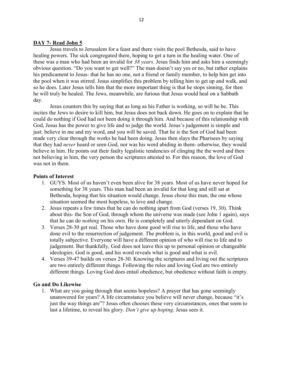#### DAY 7- Read John 5

Jesus travels to Jerusalem for a feast and there visits the pool Bethesda, said to have healing powers. The sick congregated there, hoping to get a turn in the healing water. One of these was a man who had been an invalid for 38 years. Jesus finds him and asks him a seemingly obvious question. "Do you want to get well?" The man doesn't say yes or no, but rather explains his predicament to Jesus- that he has no one, not a friend or family member, to help him get into the pool when it was stirred. Jesus simplifies this problem by telling him to get up and walk, and so he does. Later Jesus tells him that the more important thing is that he stops sinning, for then he will truly be healed. The Jews, meanwhile, are furious that Jesus would heal on a Sabbath day.

Jesus counters this by saying that as long as his Father is working, so will he be. This incites the Jews to desire to kill him, but Jesus does not back down. He goes on to explain that he could do nothing if God had not been doing it through him. And because of this relationship with God, Jesus has the power to give life and to judge the world. Jesus's judgement is simple and just: believe in me and my word, and you will be saved. That he is the Son of God had been made very clear through the works he had been doing. Jesus then slays the Pharisees by saying that they had never heard or seen God, nor was his word abiding in them- otherwise, they would believe in him. He points out their faulty legalistic tendencies of clinging the the word and then not believing in him, the very person the scriptures attested to. For this reason, the love of God was not in them.

#### Points of Interest

- 1. GUYS. Most of us haven't even been alive for 38 years. Most of us have never hoped for something for 38 years. This man had been an invalid for that long and still sat at Bethesda, hoping that his situation would change. Jesus chose this man, the one whose situation seemed the most hopeless, to love and change.
- 2. Jesus repeats a few times that he can do nothing apart from God (verses 19, 30). Think about this- the Son of God, through whom the universe was made (see John 1 again), says that he can do *nothing* on his own. He is completely and utterly dependant on God.
- 3. Verses 28-30 get real. Those who have done good will rise to life, and those who have done evil to the resurrection of judgement. The problem is, in this world, good and evil is totally subjective. Everyone will have a different opinion of who will rise to life and to judgement. But thankfully, God does not leave this up to personal opinion or changeable ideologies. God is good, and his word reveals what is good and what is evil.
- 4. Verses 39-47 builds on verses 28-30. Knowing the scriptures and living out the scriptures are two entirely different things. Following the rules and loving God are two entirely different things. Loving God does entail obedience, but obedience without faith is empty.

#### Go and Do Likewise

1. What are you going through that seems hopeless? A prayer that has gone seemingly unanswered for years? A life circumstance you believe will never change, because "it's just the way things are"? Jesus often chooses these very circumstances, ones that seem to last a lifetime, to reveal his glory. Don't give up hoping. Jesus sees it.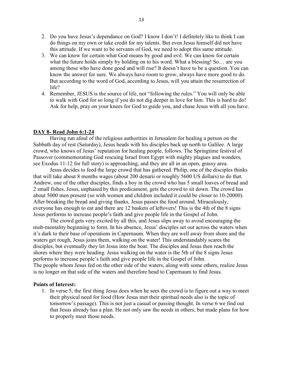- 2. Do you have Jesus's dependance on God? I know I don't! I definitely like to think I can do things on my own or take credit for my talents. But even Jesus himself did not have this attitude. If we want to be servants of God, we need to adopt this same attitude.
- 3. We can know for certain what God means by good and evil. We can know for certain what the future holds simply by holding on to his word. What a blessing! So… are you among those who have done good and will rise? It doesn't have to be a question. You can know the answer for sure. We always have room to grow, always have more good to do. But according to the word of God, according to Jesus, will you attain the resurrection of life?
- 4. Remember, JESUS is the source of life, not "following the rules." You will only be able to walk with God for so long if you do not dig deeper in love for him. This is hard to do! Ask for help, pray on your knees for God to guide you, and chase Jesus with all you have.

#### DAY 8- Read John 6:1-24

Having run afoul of the religious authorities in Jerusalem for healing a person on the Sabbath day of rest (Saturday), Jesus heads with his disciples back up north to Galilee. A large crowd, who knows of Jesus' reputation for healing people, follows. The Springtime festival of Passover (commemorating God rescuing Israel from Egypt with mighty plagues and wonders, see Exodus 11-12 for full story) is approaching, and they are all in an open, grassy area.

Jesus decides to feed the large crowd that has gathered. Philip, one of the disciples thinks that will take about 8 months wages (about 200 denarii or roughly 5600 US dollars) to do that. Andrew, one of the other disciples, finds a boy in the crowd who has 5 small loaves of bread and 2 small fishes. Jesus, unphased by this predicament, gets the crowd to sit down. The crowd has about 5000 men present (so with women and children included it could be closer to 10-20000). After breaking the bread and giving thanks, Jesus passes the food around. Miraculously, everyone has enough to eat and there are 12 baskets of leftovers! This is the 4th of the 8 signs Jesus performs to increase people's faith and give people life in the Gospel of John.

The crowd gets very excited by all this, and Jesus slips away to avoid encouraging the mob-mentality beginning to form. In his absence, Jesus' disciples set out across the waters when it's dark to their base of operations in Capernaum. When they are well away from shore and the waters get rough, Jesus joins them, walking on the water! This understandably scares the disciples, but eventually they let Jesus into the boat. The disciples and Jesus then reach the shores where they were heading. Jesus walking on the water is the 5th of the 8 signs Jesus performs to increase people's faith and give people life in the Gospel of John. The people whom Jesus fed on the other side of the waters, along with some others, realize Jesus is no longer on that side of the waters and therefore head to Capernaum to find Jesus.

#### Points of Interest:

1. In verse 5, the first thing Jesus does when he sees the crowd is to figure out a way to meet their physical need for food (How Jesus met their spiritual needs also is the topic of tomorrow's passage). This is not just a casual or passing thought. In verse 6 we find out that Jesus already has a plan. He not only saw the needs in others, but made plans for how to properly meet those needs.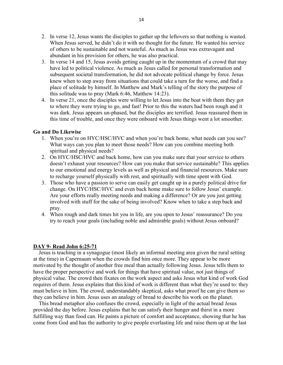- 2. In verse 12, Jesus wants the disciples to gather up the leftovers so that nothing is wasted. When Jesus served, he didn't do it with no thought for the future. He wanted his service of others to be sustainable and not wasteful. As much as Jesus was extravagant and abundant in his provision for others, he was also practical.
- 3. In verse 14 and 15, Jesus avoids getting caught up in the momentum of a crowd that may have led to political violence. As much as Jesus called for personal transformation and subsequent societal transformation, he did not advocate political change by force. Jesus knew when to step away from situations that could take a turn for the worse, and find a place of solitude by himself. In Matthew and Mark's telling of the story the purpose of this solitude was to pray (Mark 6:46, Matthew 14:23).
- 4. In verse 21, once the disciples were willing to let Jesus into the boat with them they got to where they were trying to go, and fast! Prior to this the waters had been rough and it was dark. Jesus appears un-phased, but the disciples are terrified. Jesus reassured them in this time of trouble, and once they were onboard with Jesus things went a lot smoother.

#### Go and Do Likewise

- 1. When you're on HYC/HSC/HVC and when you're back home, what needs can you see? What ways can you plan to meet those needs? How can you combine meeting both spiritual and physical needs?
- 2. On HYC/HSC/HVC and back home, how can you make sure that your service to others doesn't exhaust your resources? How can you make that service sustainable? This applies to our emotional and energy levels as well as physical and financial resources. Make sure to recharge yourself physically with rest, and spiritually with time spent with God.
- 3. Those who have a passion to serve can easily get caught up in a purely political drive for change. On HYC/HSC/HVC and even back home make sure to follow Jesus' example. Are your efforts really meeting needs and making a difference? Or are you just getting involved with stuff for the sake of being involved? Know when to take a step back and pray.
- 4. When rough and dark times hit you in life, are you open to Jesus' reassurance? Do you try to reach your goals (including noble and admirable goals) without Jesus onboard?

#### DAY 9- Read John 6:25-71

 Jesus is teaching in a synagogue (most likely an informal meeting area given the rural setting at the time) in Capernaum when the crowds find him once more. They appear to be more motivated by the thought of another free meal than actually following Jesus. Jesus tells them to have the proper perspective and work for things that have spiritual value, not just things of physical value. The crowd then fixates on the work aspect and asks Jesus what kind of work God requires of them. Jesus explains that this kind of work is different than what they're used to: they must believe in him. The crowd, understandably skeptical, asks what proof he can give them so they can believe in him. Jesus uses an analogy of bread to describe his work on the planet.

 This bread metaphor also confuses the crowd, especially in light of the actual bread Jesus provided the day before. Jesus explains that he can satisfy their hunger and thirst in a more fulfilling way than food can. He paints a picture of comfort and acceptance, showing that he has come from God and has the authority to give people everlasting life and raise them up at the last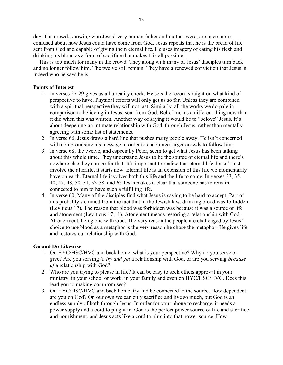day. The crowd, knowing who Jesus' very human father and mother were, are once more confused about how Jesus could have come from God. Jesus repeats that he is the bread of life, sent from God and capable of giving them eternal life. He uses imagery of eating his flesh and drinking his blood as a form of sacrifice that makes this all possible.

 This is too much for many in the crowd. They along with many of Jesus' disciples turn back and no longer follow him. The twelve still remain. They have a renewed conviction that Jesus is indeed who he says he is.

# Points of Interest

- 1. In verses 27-29 gives us all a reality check. He sets the record straight on what kind of perspective to have. Physical efforts will only get us so far. Unless they are combined with a spiritual perspective they will not last. Similarly, all the works we do pale in comparison to believing in Jesus, sent from God. Belief means a different thing now than it did when this was written. Another way of saying it would be to "belove" Jesus. It's about deepening an intimate relationship with God, through Jesus, rather than mentally agreeing with some list of statements.
- 2. In verse 66, Jesus draws a hard line that pushes many people away. He isn't concerned with compromising his message in order to encourage larger crowds to follow him.
- 3. In verse 68, the twelve, and especially Peter, seem to get what Jesus has been talking about this whole time. They understand Jesus to be the source of eternal life and there's nowhere else they can go for that. It's important to realize that eternal life doesn't just involve the afterlife, it starts now. Eternal life is an extension of this life we momentarily have on earth. Eternal life involves both this life and the life to come. In verses 33, 35, 40, 47, 48, 50, 51, 53-58, and 63 Jesus makes it clear that someone has to remain connected to him to have such a fulfilling life.
- 4. In verse 60, Many of the disciples find what Jesus is saying to be hard to accept. Part of this probably stemmed from the fact that in the Jewish law, drinking blood was forbidden (Leviticus 17). The reason that blood was forbidden was because it was a source of life and atonement (Leviticus 17:11). Atonement means restoring a relationship with God. At-one-ment, being one with God. The very reason the people are challenged by Jesus' choice to use blood as a metaphor is the very reason he chose the metaphor: He gives life and restores our relationship with God.

# Go and Do Likewise

- 1. On HYC/HSC/HVC and back home, what is your perspective? Why do you serve or give? Are you serving to try and get a relationship with God, or are you serving because of a relationship with God?
- 2. Who are you trying to please in life? It can be easy to seek others approval in your ministry, in your school or work, in your family and even on HYC/HSC/HVC. Does this lead you to making compromises?
- 3. On HYC/HSC/HVC and back home, try and be connected to the source. How dependent are you on God? On our own we can only sacrifice and live so much, but God is an endless supply of both through Jesus. In order for your phone to recharge, it needs a power supply and a cord to plug it in. God is the perfect power source of life and sacrifice and nourishment, and Jesus acts like a cord to plug into that power source. How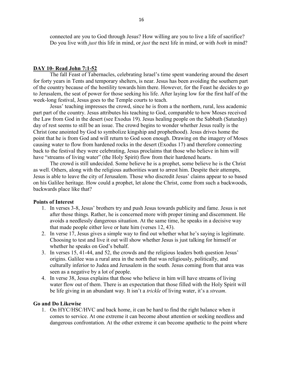connected are you to God through Jesus? How willing are you to live a life of sacrifice? Do you live with *just* this life in mind, or *just* the next life in mind, or with *both* in mind?

#### DAY 10- Read John 7:1-52

The fall Feast of Tabernacles, celebrating Israel's time spent wandering around the desert for forty years in Tents and temporary shelters, is near. Jesus has been avoiding the southern part of the country because of the hostility towards him there. However, for the Feast he decides to go to Jerusalem, the seat of power for those seeking his life. After laying low for the first half of the week-long festival, Jesus goes to the Temple courts to teach.

Jesus' teaching impresses the crowd, since he is from a the northern, rural, less academic part part of the country. Jesus attributes his teaching to God, comparable to how Moses received the Law from God in the desert (see Exodus 19). Jesus healing people on the Sabbath (Saturday) day of rest seems to still be an issue. The crowd begins to wonder whether Jesus really is the Christ (one anointed by God to symbolize kingship and prophethood). Jesus drives home the point that he is from God and will return to God soon enough. Drawing on the imagery of Moses causing water to flow from hardened rocks in the desert (Exodus 17) and therefore connecting back to the festival they were celebrating, Jesus proclaims that those who believe in him will have "streams of living water" (the Holy Spirit) flow from their hardened hearts.

The crowd is still undecided. Some believe he is a prophet, some believe he is the Christ as well. Others, along with the religious authorities want to arrest him. Despite their attempts, Jesus is able to leave the city of Jerusalem. Those who discredit Jesus' claims appear to so based on his Galilee heritage. How could a prophet, let alone the Christ, come from such a backwoods, backwards place like that?

#### Points of Interest

- 1. In verses 3-8, Jesus' brothers try and push Jesus towards publicity and fame. Jesus is not after those things. Rather, he is concerned more with proper timing and discernment. He avoids a needlessly dangerous situation. At the same time, he speaks in a decisive way that made people either love or hate him (verses 12, 43).
- 2. In verse 17, Jesus gives a simple way to find out whether what he's saying is legitimate. Choosing to test and live it out will show whether Jesus is just talking for himself or whether he speaks on God's behalf.
- 3. In verses 15, 41-44, and 52, the crowds and the religious leaders both question Jesus' origins. Galilee was a rural area in the north that was religiously, politically, and culturally inferior to Judea and Jerusalem in the south. Jesus coming from that area was seen as a negative by a lot of people.
- 4. In verse 38, Jesus explains that those who believe in him will have streams of living water flow out of them. There is an expectation that those filled with the Holy Spirit will be life giving in an abundant way. It isn't a *trickle* of living water, it's a *stream*.

#### Go and Do Likewise

1. On HYC/HSC/HVC and back home, it can be hard to find the right balance when it comes to service. At one extreme it can become about attention or seeking needless and dangerous confrontation. At the other extreme it can become apathetic to the point where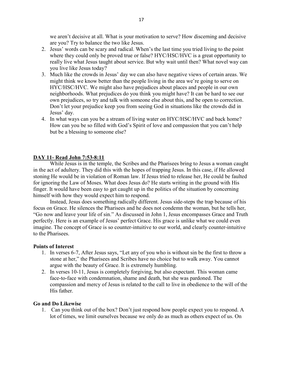we aren't decisive at all. What is your motivation to serve? How discerning and decisive are you? Try to balance the two like Jesus.

- 2. Jesus' words can be scary and radical. When's the last time you tried living to the point where they could only be proved true or false? HYC/HSC/HVC is a great opportunity to really live what Jesus taught about service. But why wait until then? What novel way can you live like Jesus today?
- 3. Much like the crowds in Jesus' day we can also have negative views of certain areas. We might think we know better than the people living in the area we're going to serve on HYC/HSC/HVC. We might also have prejudices about places and people in our own neighborhoods. What prejudices do you think you might have? It can be hard to see our own prejudices, so try and talk with someone else about this, and be open to correction. Don't let your prejudice keep you from seeing God in situations like the crowds did in Jesus' day.
- 4. In what ways can you be a stream of living water on HYC/HSC/HVC and back home? How can you be so filled with God's Spirit of love and compassion that you can't help but be a blessing to someone else?

#### DAY 11- Read John 7:53-8:11

While Jesus is in the temple, the Scribes and the Pharisees bring to Jesus a woman caught in the act of adultery. They did this with the hopes of trapping Jesus. In this case, if He allowed stoning He would be in violation of Roman law. If Jesus tried to release her, He could be faulted for ignoring the Law of Moses. What does Jesus do? He starts writing in the ground with His finger. It would have been easy to get caught up in the politics of the situation by concerning himself with how they would expect him to respond.

Instead, Jesus does something radically different. Jesus side-steps the trap because of his focus on Grace. He silences the Pharisees and he does not condemn the woman, but he tells her, "Go now and leave your life of sin." As discussed in John 1, Jesus encompasses Grace and Truth perfectly. Here is an example of Jesus' perfect Grace. His grace is unlike what we could even imagine. The concept of Grace is so counter-intuitive to our world, and clearly counter-intuitive to the Pharisees.

#### Points of Interest

- 1. In verses 6-7, After Jesus says, "Let any of you who is without sin be the first to throw a stone at her," the Pharisees and Scribes have no choice but to walk away. You cannot argue with the beauty of Grace. It is extremely humbling.
- 2. In verses 10-11, Jesus is completely forgiving, but also expectant. This woman came face-to-face with condemnation, shame and death, but she was pardoned. The compassion and mercy of Jesus is related to the call to live in obedience to the will of the His father.

#### Go and Do Likewise

1. Can you think out of the box? Don't just respond how people expect you to respond. A lot of times, we limit ourselves because we only do as much as others expect of us. On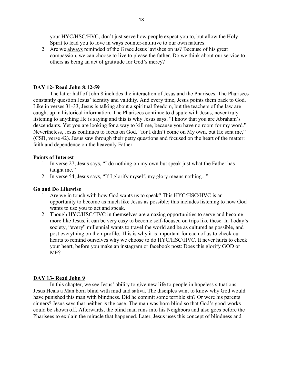your HYC/HSC/HVC, don't just serve how people expect you to, but allow the Holy Spirit to lead you to love in ways counter-intuitive to our own natures.

2. Are we always reminded of the Grace Jesus lavishes on us? Because of his great compassion, we can choose to live to please the father. Do we think about our service to others as being an act of gratitude for God's mercy?

# DAY 12- Read John 8:12-59

The latter half of John 8 includes the interaction of Jesus and the Pharisees. The Pharisees constantly question Jesus' identity and validity. And every time, Jesus points them back to God. Like in verses 31-33, Jesus is talking about a spiritual freedom, but the teachers of the law are caught up in historical information. The Pharisees continue to dispute with Jesus, never truly listening to anything He is saying and this is why Jesus says, "I know that you are Abraham's descendants. Yet you are looking for a way to kill me, because you have no room for my word." Nevertheless, Jesus continues to focus on God, "for I didn't come on My own, but He sent me," (CSB, verse 42). Jesus saw through their petty questions and focused on the heart of the matter: faith and dependence on the heavenly Father.

#### Points of Interest

- 1. In verse 27, Jesus says, "I do nothing on my own but speak just what the Father has taught me."
- 2. In verse 54, Jesus says, "If I glorify myself, my glory means nothing..."

# Go and Do Likewise

- 1. Are we in touch with how God wants us to speak? This HYC/HSC/HVC is an opportunity to become as much like Jesus as possible; this includes listening to how God wants to use you to act and speak.
- 2. Though HYC/HSC/HVC in themselves are amazing opportunities to serve and become more like Jesus, it can be very easy to become self-focused on trips like these. In Today's society, "every" millennial wants to travel the world and be as cultured as possible, and post everything on their profile. This is why it is important for each of us to check our hearts to remind ourselves why we choose to do HYC/HSC/HVC. It never hurts to check your heart, before you make an instagram or facebook post: Does this glorify GOD or ME?

#### DAY 13- Read John 9

In this chapter, we see Jesus' ability to give new life to people in hopeless situations. Jesus Heals a Man born blind with mud and saliva. The disciples want to know why God would have punished this man with blindness. Did he commit some terrible sin? Or were his parents sinners? Jesus says that neither is the case. The man was born blind so that God's good works could be shown off. Afterwards, the blind man runs into his Neighbors and also goes before the Pharisees to explain the miracle that happened. Later, Jesus uses this concept of blindness and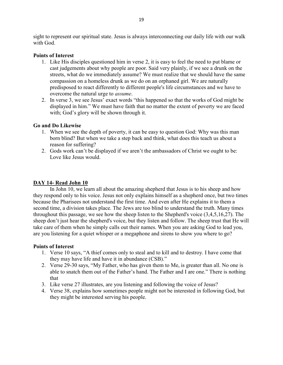sight to represent our spiritual state. Jesus is always interconnecting our daily life with our walk with God.

#### Points of Interest

- 1. Like His disciples questioned him in verse 2, it is easy to feel the need to put blame or cast judgements about why people are poor. Said very plainly, if we see a drunk on the streets, what do we immediately assume? We must realize that we should have the same compassion on a homeless drunk as we do on an orphaned girl. We are naturally predisposed to react differently to different people's life circumstances and we have to overcome the natural urge to assume.
- 2. In verse 3, we see Jesus' exact words "this happened so that the works of God might be displayed in him." We must have faith that no matter the extent of poverty we are faced with; God's glory will be shown through it.

#### Go and Do Likewise

- 1. When we see the depth of poverty, it can be easy to question God: Why was this man born blind? But when we take a step back and think, what does this teach us about a reason for suffering?
- 2. Gods work can't be displayed if we aren't the ambassadors of Christ we ought to be: Love like Jesus would.

# DAY 14- Read John 10

In John 10, we learn all about the amazing shepherd that Jesus is to his sheep and how they respond only to his voice. Jesus not only explains himself as a shepherd once, but two times because the Pharisees not understand the first time. And even after He explains it to them a second time, a division takes place. The Jews are too blind to understand the truth. Many times throughout this passage, we see how the sheep listen to the Shepherd's voice (3,4,5,16,27). The sheep don't just hear the shepherd's voice, but they listen and follow. The sheep trust that He will take care of them when he simply calls out their names. When you are asking God to lead you, are you listening for a quiet whisper or a megaphone and sirens to show you where to go?

- 1. Verse 10 says, "A thief comes only to steal and to kill and to destroy. I have come that they may have life and have it in abundance (CSB)."
- 2. Verse 29-30 says, "My Father, who has given them to Me, is greater than all. No one is able to snatch them out of the Father's hand. The Father and I are one." There is nothing that
- 3. Like verse 27 illustrates, are you listening and following the voice of Jesus?
- 4. Verse 38, explains how sometimes people might not be interested in following God, but they might be interested serving his people.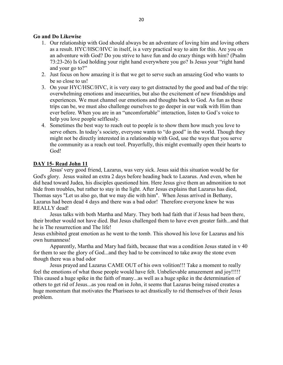# Go and Do Likewise

- 1. Our relationship with God should always be an adventure of loving him and loving others as a result. HYC/HSC/HVC in itself, is a very practical way to aim for this. Are you on an adventure with God? Do you strive to have fun and do crazy things with him? (Psalm 73:23-26) Is God holding your right hand everywhere you go? Is Jesus your "right hand and your go to?"
- 2. Just focus on how amazing it is that we get to serve such an amazing God who wants to be so close to us!
- 3. On your HYC/HSC/HVC, it is very easy to get distracted by the good and bad of the trip: overwhelming emotions and insecurities, but also the excitement of new friendships and experiences. We must channel our emotions and thoughts back to God. As fun as these trips can be, we must also challenge ourselves to go deeper in our walk with Him than ever before. When you are in an "uncomfortable" interaction, listen to God's voice to help you love people selflessly.
- 4. Sometimes the best way to reach out to people is to show them how much you love to serve others. In today's society, everyone wants to "do good" in the world. Though they might not be directly interested in a relationship with God, use the ways that you serve the community as a reach out tool. Prayerfully, this might eventually open their hearts to God!

#### DAY 15- Read John 11

Jesus' very good friend, Lazarus, was very sick. Jesus said this situation would be for God's glory. Jesus waited an extra 2 days before heading back to Lazarus. And even, when he did head toward Judea, his disciples questioned him. Here Jesus give them an admonition to not hide from troubles, but rather to stay in the light. After Jesus explains that Lazarus has died, Thomas says "Let us also go, that we may die with him". When Jesus arrived in Bethany, Lazarus had been dead 4 days and there was a bad odor! Therefore everyone knew he was REALLY dead!

Jesus talks with both Martha and Mary. They both had faith that if Jesus had been there, their brother would not have died. But Jesus challenged them to have even greater faith...and that he is The resurrection and The life!

Jesus exhibited great emotion as he went to the tomb. This showed his love for Lazarus and his own humanness!

Apparently, Martha and Mary had faith, because that was a condition Jesus stated in v 40 for them to see the glory of God...and they had to be convinced to take away the stone even though there was a bad odor

Jesus prayed and Lazarus CAME OUT of his own volition!!! Take a moment to really feel the emotions of what those people would have felt. Unbelievable amazement and joy!!!!! This caused a huge spike in the faith of many...as well as a huge spike in the determination of others to get rid of Jesus...as you read on in John, it seems that Lazarus being raised creates a huge momentum that motivates the Pharisees to act drastically to rid themselves of their Jesus problem.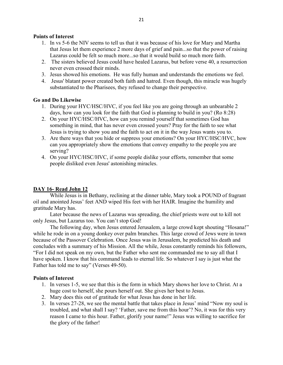# Points of Interest

- 1. In vs 5-6 the NIV seems to tell us that it was because of his love for Mary and Martha that Jesus let them experience 2 more days of grief and pain...so that the power of raising Lazarus could be felt so much more...so that it would build so much more faith.
- 2. The sisters believed Jesus could have healed Lazarus, but before verse 40, a resurrection never even crossed their minds.
- 3. Jesus showed his emotions. He was fully human and understands the emotions we feel.
- 4. Jesus' blatant power created both faith and hatred. Even though, this miracle was hugely substantiated to the Pharisees, they refused to change their perspective.

#### Go and Do Likewise

- 1. During your HYC/HSC/HVC, if you feel like you are going through an unbearable 2 days, how can you look for the faith that God is planning to build in you? (Ro 8:28)
- 2. On your HYC/HSC/HVC, how can you remind yourself that sometimes God has something in mind, that has never even crossed yours? Pray for the faith to see what Jesus is trying to show you and the faith to act on it in the way Jesus wants you to.
- 3. Are there ways that you hide or suppress your emotions? On your HYC/HSC/HVC, how can you appropriately show the emotions that convey empathy to the people you are serving?
- 4. On your HYC/HSC/HVC, if some people dislike your efforts, remember that some people disliked even Jesus' astonishing miracles.

# DAY 16- Read John 12

While Jesus is in Bethany, reclining at the dinner table, Mary took a POUND of fragrant oil and anointed Jesus' feet AND wiped His feet with her HAIR. Imagine the humility and gratitude Mary has.

Later because the news of Lazarus was spreading, the chief priests were out to kill not only Jesus, but Lazarus too. You can't stop God!

The following day, when Jesus entered Jerusalem, a large crowd kept shouting "Hosana!" while he rode in on a young donkey over palm branches. This large crowd of Jews were in town because of the Passover Celebration. Once Jesus was in Jerusalem, he predicted his death and concludes with a summary of his Mission. All the while, Jesus constantly reminds his followers, "For I did not speak on my own, but the Father who sent me commanded me to say all that I have spoken. I know that his command leads to eternal life. So whatever I say is just what the Father has told me to say" (Verses 49-50).

- 1. In verses 1-5, we see that this is the form in which Mary shows her love to Christ. At a huge cost to herself, she pours herself out. She gives her best to Jesus.
- 2. Mary does this out of gratitude for what Jesus has done in her life.
- 3. In verses 27-28, we see the mental battle that takes place in Jesus' mind "Now my soul is troubled, and what shall I say? 'Father, save me from this hour'? No, it was for this very reason I came to this hour. Father, glorify your name!" Jesus was willing to sacrifice for the glory of the father!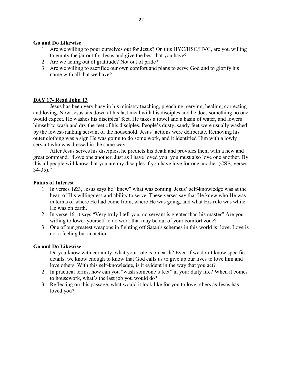# Go and Do Likewise

- 1. Are we willing to pour ourselves out for Jesus? On this HYC/HSC/HVC, are you willing to empty the jar out for Jesus and give the best that you have?
- 2. Are we acting out of gratitude? Not out of pride?
- 3. Are we willing to sacrifice our own comfort and plans to serve God and to glorify his name with all that we have?

# DAY 17- Read John 13

Jesus has been very busy in his ministry teaching, preaching, serving, healing, correcting and loving. Now Jesus sits down at his last meal with his disciples and he does something no one would expect. He washes his disciples' feet. He takes a towel and a basin of water, and lowers himself to wash and dry the feet of his disciples. People's dusty, sandy feet were usually washed by the lowest-ranking servant of the household. Jesus' actions were deliberate. Removing his outer clothing was a sign He was going to do some work, and it identified Him with a lowly servant who was dressed in the same way.

After Jesus serves his disciples, he predicts his death and provides them with a new and great command, "Love one another. Just as I have loved you, you must also love one another. By this all people will know that you are my disciples if you have love for one another (CSB, verses  $34-35$ )."

#### Points of Interest

- 1. In verses 1&3, Jesus says he "knew" what was coming. Jesus' self-knowledge was at the heart of His willingness and ability to serve. These verses say that He knew who He was in terms of where He had come from, where He was going, and what His role was while He was on earth.
- 2. In verse 16, it says "Very truly I tell you, no servant is greater than his master" Are you willing to lower yourself to do work that may be out of your comfort zone?
- 3. One of our greatest weapons in fighting off Satan's schemes in this world is: love. Love is not a feeling but an action.

# Go and Do Likewise

- 1. Do you know with certainty, what your role is on earth? Even if we don't know specific details, we know enough to know that God calls us to give up our lives to love him and love others. With this self-knowledge, is it evident in the way that you act?
- 2. In practical terms, how can you "wash someone's feet" in your daily life? When it comes to housework, what's the last job you would do?
- 3. Reflecting on this passage, what would it look like for you to love others as Jesus has loved you?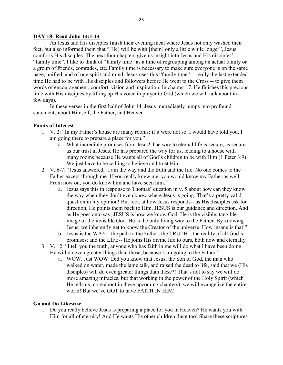#### DAY 18- Read John 14:1-14

As Jesus and His disciples finish their evening meal where Jesus not only washed their feet, but also informed them that "[He] will be with [them] only a little while longer", Jesus comforts His disciples. The next four chapters give us insight into Jesus and His disciples' "family time". I like to think of "family time" as a time of regrouping among an actual family or a group of friends, comrades, etc. Family time is necessary to make sure everyone is on the same page, unified, and of one spirit and mind. Jesus uses this "family time" -- really the last extended time He had to be with His disciples and followers before He went to the Cross -- to give them words of encouragement, comfort, vision and inspiration. In chapter 17, He finishes this precious time with His disciples by lifting up His voice in prayer to God (which we will talk about in a few days).

In these verses in the first half of John 14, Jesus immediately jumps into profound statements about Himself, the Father, and Heaven.

#### Points of Interest

- 1. V. 2: "In my Father's house are many rooms; if it were not so, I would have told you. I am going there to prepare a place for you."
	- a. What incredible promises from Jesus! The way to eternal life is secure, as secure as our trust in Jesus. He has prepared the way for us, leading to a house with many rooms because He wants all of God's children to be with Him (1 Peter 3:9). We just have to be willing to believe and trust Him.
- 2. V. 6-7: "Jesus answered, 'I am the way and the truth and the life. No one comes to the Father except through me. If you really knew me, you would know my Father as well. From now on, you do know him and have seen him.'"
	- a. Jesus says this in response to Thomas' question in v. 5 about how can they know the way when they don't even know where Jesus is going. That's a pretty valid question in my opinion! But look at how Jesus responds-- as His disciples ask for direction, He points them back to Him. JESUS is our guidance and direction. And as He goes onto say, JESUS is how we know God. He is the visible, tangible image of the invisible God. He is the only living way to the Father. By knowing Jesus, we inherently get to know the Creator of the universe. How insane is that!?
	- b. Jesus is the WAY-- the path to the Father; the TRUTH-- the reality of all God's promises; and the LIFE-- He joins His divine life to ours, both now and eternally
- 3. V. 12: "I tell you the truth, anyone who has faith in me will do what I have been doing. He will do even greater things than these, because I am going to the Father."
	- a. WOW. Just WOW. Did you know that Jesus, the Son of God, the man who walked on water, made the lame talk, and raised the dead to life, said that we (His disciples) will do even greater things than these?! That's not to say we will do more amazing miracles, but that working in the power of the Holy Spirit (which He tells us more about in these upcoming chapters), we will evangelize the entire world! But we've GOT to have FAITH IN HIM!

#### Go and Do Likewise

1. Do you really believe Jesus is preparing a place for you in Heaven? He wants you with Him for all of eternity! And He wants His other children there too! Share these scriptures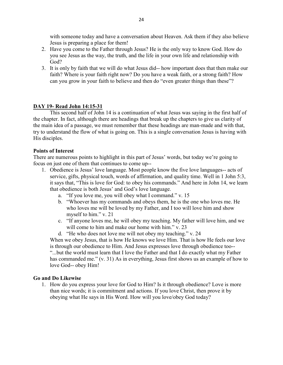with someone today and have a conversation about Heaven. Ask them if they also believe Jesus is preparing a place for them!

- 2. Have you come to the Father through Jesus? He is the only way to know God. How do you see Jesus as the way, the truth, and the life in your own life and relationship with God?
- 3. It is only by faith that we will do what Jesus did-- how important does that then make our faith? Where is your faith right now? Do you have a weak faith, or a strong faith? How can you grow in your faith to believe and then do "even greater things than these"?

# DAY 19- Read John 14:15-31

This second half of John 14 is a continuation of what Jesus was saying in the first half of the chapter. In fact, although there are headings that break up the chapters to give us clarity of the main idea of a passage, we must remember that these headings are man-made and with that, try to understand the flow of what is going on. This is a single conversation Jesus is having with His disciples.

# Points of Interest

There are numerous points to highlight in this part of Jesus' words, but today we're going to focus on just one of them that continues to come up--

- 1. Obedience is Jesus' love language. Most people know the five love languages-- acts of service, gifts, physical touch, words of affirmation, and quality time. Well in 1 John 5:3, it says that, "This is love for God: to obey his commands." And here in John 14, we learn that obedience is both Jesus' and God's love language.
	- a. "If you love me, you will obey what I command." v. 15
	- b. "Whoever has my commands and obeys them, he is the one who loves me. He who loves me will be loved by my Father, and I too will love him and show myself to him." v. 21
	- c. "If anyone loves me, he will obey my teaching. My father will love him, and we will come to him and make our home with him." v. 23
	- d. "He who does not love me will not obey my teaching." v. 24

When we obey Jesus, that is how He knows we love Him. That is how He feels our love is through our obedience to Him. And Jesus expresses love through obedience too-- "...but the world must learn that I love the Father and that I do exactly what my Father has commanded me." (v. 31) As in everything, Jesus first shows us an example of how to love God-- obey Him!

# Go and Do Likewise

1. How do you express your love for God to Him? Is it through obedience? Love is more than nice words; it is commitment and actions. If you love Christ, then prove it by obeying what He says in His Word. How will you love/obey God today?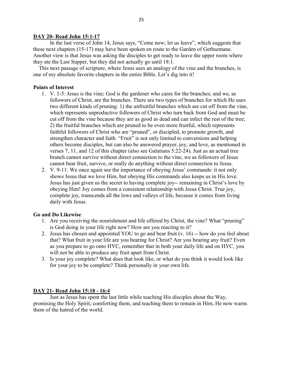# DAY 20- Read John 15:1-17

In the last verse of John 14, Jesus says, "Come now; let us leave", which suggests that these next chapters (15-17) may have been spoken en route to the Garden of Gethsemane. Another view is that Jesus was asking the disciples to get ready to leave the upper room where they ate the Last Supper, but they did not actually go until 18:1.

 This next passage of scripture, where Jesus uses an analogy of the vine and the branches, is one of my absolute favorite chapters in the entire Bible. Let's dig into it!

# Points of Interest

- 1. V. 1-5: Jesus is the vine; God is the gardener who cares for the branches; and we, as followers of Christ, are the branches. There are two types of branches for which He uses two different kinds of pruning: 1) the unfruitful branches which are cut off from the vine, which represents unproductive followers of Christ who turn back from God and must be cut off from the vine because they are as good as dead and can infect the rest of the tree; 2) the fruitful branches which are pruned to be even more fruitful, which represents faithful followers of Christ who are "pruned", or discipled, to promote growth, and strengthen character and faith. "Fruit" is not only limited to conversions and helping others become disciples, but can also be answered prayer, joy, and love, as mentioned in verses 7, 11, and 12 of this chapter (also see Galatians 5:22-24). Just as an actual tree branch cannot survive without direct connection to the vine, we as followers of Jesus cannot bear fruit, survive, or really do anything without direct connection to Jesus.
- 2. V. 9-11: We once again see the importance of obeying Jesus' commands: it not only shows Jesus that we love Him, but obeying His commands also keeps us in His love. Jesus has just given us the secret to having complete joy-- remaining in Christ's love by obeying Him! Joy comes from a consistent relationship with Jesus Christ. True joy, complete joy, transcends all the lows and valleys of life, because it comes from living daily with Jesus.

# Go and Do Likewise

- 1. Are you receiving the nourishment and life offered by Christ, the vine? What "pruning" is God doing in your life right now? How are you reacting to it?
- 2. Jesus has chosen and appointed YOU to go and bear fruit (v. 16) -- how do you feel about that? What fruit in your life are you bearing for Christ? Are you bearing any fruit? Even as you prepare to go onto HYC, remember that in both your daily life and on HYC, you will not be able to produce any fruit apart from Christ.
- 3. Is your joy complete? What does that look like, or what do you think it would look like for your joy to be complete? Think personally in your own life.

# DAY 21- Read John 15:18 - 16:4

Just as Jesus has spent the last little while teaching His disciples about the Way, promising the Holy Spirit, comforting them, and teaching them to remain in Him, He now warns them of the hatred of the world.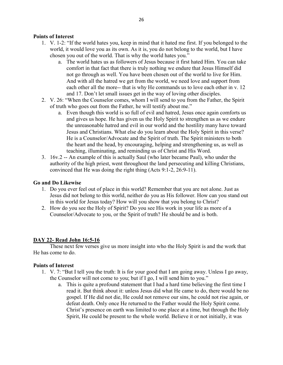# Points of Interest

- 1. V. 1-2: "If the world hates you, keep in mind that it hated me first. If you belonged to the world, it would love you as its own. As it is, you do not belong to the world, but I have chosen you out of the world. That is why the world hates you."
	- a. The world hates us as followers of Jesus because it first hated Him. You can take comfort in that fact that there is truly nothing we endure that Jesus Himself did not go through as well. You have been chosen out of the world to live for Him. And with all the hatred we get from the world, we need love and support from each other all the more-- that is why He commands us to love each other in v. 12 and 17. Don't let small issues get in the way of loving other disciples.
- 2. V. 26: "When the Counselor comes, whom I will send to you from the Father, the Spirit of truth who goes out from the Father, he will testify about me."
	- a. Even though this world is so full of evil and hatred, Jesus once again comforts us and gives us hope. He has given us the Holy Spirit to strengthen us as we endure the unreasonable hatred and evil in our world and the hostility many have toward Jesus and Christians. What else do you learn about the Holy Spirit in this verse? He is a Counselor/Advocate and the Spirit of truth. The Spirit ministers to both the heart and the head, by encouraging, helping and strengthening us, as well as teaching, illuminating, and reminding us of Christ and His Word.
- 3. 16v.2 -- An example of this is actually Saul (who later became Paul), who under the authority of the high priest, went throughout the land persecuting and killing Christians, convinced that He was doing the right thing (Acts 9:1-2, 26:9-11).

#### Go and Do Likewise

- 1. Do you ever feel out of place in this world? Remember that you are not alone. Just as Jesus did not belong to this world, neither do you as His follower. How can you stand out in this world for Jesus today? How will you show that you belong to Christ?
- 2. How do you see the Holy of Spirit? Do you see His work in your life as more of a Counselor/Advocate to you, or the Spirit of truth? He should be and is both.

# DAY 22- Read John 16:5-16

These next few verses give us more insight into who the Holy Spirit is and the work that He has come to do.

- 1. V. 7: "But I tell you the truth: It is for your good that I am going away. Unless I go away, the Counselor will not come to you; but if I go, I will send him to you."
	- a. This is quite a profound statement that I had a hard time believing the first time I read it. But think about it: unless Jesus did what He came to do, there would be no gospel. If He did not die, He could not remove our sins, he could not rise again, or defeat death. Only once He returned to the Father would the Holy Spirit come. Christ's presence on earth was limited to one place at a time, but through the Holy Spirit, He could be present to the whole world. Believe it or not initially, it was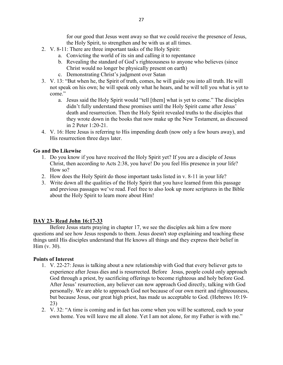for our good that Jesus went away so that we could receive the presence of Jesus, the Holy Spirit, to strengthen and be with us at all times.

- 2. V. 8-11: There are three important tasks of the Holy Spirit:
	- a. Convicting the world of its sin and calling it to repentance
	- b. Revealing the standard of God's righteousness to anyone who believes (since Christ would no longer be physically present on earth)
	- c. Demonstrating Christ's judgment over Satan
- 3. V. 13: "But when he, the Spirit of truth, comes, he will guide you into all truth. He will not speak on his own; he will speak only what he hears, and he will tell you what is yet to come."
	- a. Jesus said the Holy Spirit would "tell [them] what is yet to come." The disciples didn't fully understand these promises until the Holy Spirit came after Jesus' death and resurrection. Then the Holy Spirit revealed truths to the disciples that they wrote down in the books that now make up the New Testament, as discussed in 2 Peter 1:20-21.
- 4. V. 16: Here Jesus is referring to His impending death (now only a few hours away), and His resurrection three days later.

# Go and Do Likewise

- 1. Do you know if you have received the Holy Spirit yet? If you are a disciple of Jesus Christ, then according to Acts 2:38, you have! Do you feel His presence in your life? How so?
- 2. How does the Holy Spirit do those important tasks listed in v. 8-11 in your life?
- 3. Write down all the qualities of the Holy Spirit that you have learned from this passage and previous passages we've read. Feel free to also look up more scriptures in the Bible about the Holy Spirit to learn more about Him!

# DAY 23- Read John 16:17-33

Before Jesus starts praying in chapter 17, we see the disciples ask him a few more questions and see how Jesus responds to them. Jesus doesn't stop explaining and teaching these things until His disciples understand that He knows all things and they express their belief in Him (v. 30).

- 1. V. 22-27: Jesus is talking about a new relationship with God that every believer gets to experience after Jesus dies and is resurrected. Before Jesus, people could only approach God through a priest, by sacrificing offerings to become righteous and holy before God. After Jesus' resurrection, any believer can now approach God directly, talking with God personally. We are able to approach God not because of our own merit and righteousness, but because Jesus, our great high priest, has made us acceptable to God. (Hebrews 10:19- 23)
- 2. V. 32: "A time is coming and in fact has come when you will be scattered, each to your own home. You will leave me all alone. Yet I am not alone, for my Father is with me."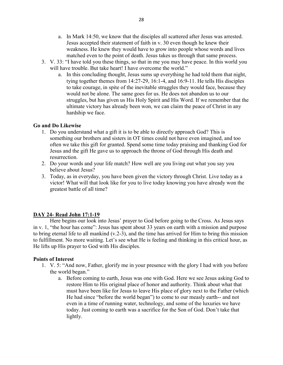- a. In Mark 14:50, we know that the disciples all scattered after Jesus was arrested. Jesus accepted their statement of faith in v. 30 even though he knew their weakness. He knew they would have to grow into people whose words and lives matched even to the point of death. Jesus takes us through that same process.
- 3. V. 33: "I have told you these things, so that in me you may have peace. In this world you will have trouble. But take heart! I have overcome the world."
	- a. In this concluding thought, Jesus sums up everything he had told them that night, tying together themes from 14:27-29, 16:1-4, and 16:9-11. He tells His disciples to take courage, in spite of the inevitable struggles they would face, because they would not be alone. The same goes for us. He does not abandon us to our struggles, but has given us His Holy Spirit and His Word. If we remember that the ultimate victory has already been won, we can claim the peace of Christ in any hardship we face.

#### Go and Do Likewise

- 1. Do you understand what a gift it is to be able to directly approach God? This is something our brothers and sisters in OT times could not have even imagined, and too often we take this gift for granted. Spend some time today praising and thanking God for Jesus and the gift He gave us to approach the throne of God through His death and resurrection.
- 2. Do your words and your life match? How well are you living out what you say you believe about Jesus?
- 3. Today, as in everyday, you have been given the victory through Christ. Live today as a victor! What will that look like for you to live today knowing you have already won the greatest battle of all time?

# DAY 24- Read John 17:1-19

Here begins our look into Jesus' prayer to God before going to the Cross. As Jesus says in v. 1, "the hour has come": Jesus has spent about 33 years on earth with a mission and purpose to bring eternal life to all mankind (v.2-3), and the time has arrived for Him to bring this mission to fulfillment. No more waiting. Let's see what He is feeling and thinking in this critical hour, as He lifts up His prayer to God with His disciples.

- 1. V. 5: "And now, Father, glorify me in your presence with the glory I had with you before the world began."
	- a. Before coming to earth, Jesus was one with God. Here we see Jesus asking God to restore Him to His original place of honor and authority. Think about what that must have been like for Jesus to leave His place of glory next to the Father (which He had since "before the world began") to come to our measly earth-- and not even in a time of running water, technology, and some of the luxuries we have today. Just coming to earth was a sacrifice for the Son of God. Don't take that lightly.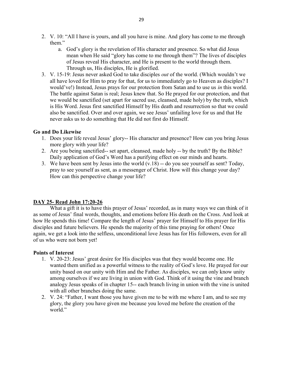- 2. V. 10: "All I have is yours, and all you have is mine. And glory has come to me through them."
	- a. God's glory is the revelation of His character and presence. So what did Jesus mean when He said "glory has come to me through them"? The lives of disciples of Jesus reveal His character, and He is present to the world through them. Through us, His disciples, He is glorified.
- 3. V. 15-19: Jesus never asked God to take disciples out of the world. (Which wouldn't we all have loved for Him to pray for that, for us to immediately go to Heaven as disciples? I would've!) Instead, Jesus prays for our protection from Satan and to use us *in* this world. The battle against Satan is real; Jesus knew that. So He prayed for our protection, and that we would be sanctified (set apart for sacred use, cleansed, made holy) by the truth, which is His Word. Jesus first sanctified Himself by His death and resurrection so that we could also be sanctified. Over and over again, we see Jesus' unfailing love for us and that He never asks us to do something that He did not first do Himself.

# Go and Do Likewise

- 1. Does your life reveal Jesus' glory-- His character and presence? How can you bring Jesus more glory with your life?
- 2. Are you being sanctified-- set apart, cleansed, made holy -- by the truth? By the Bible? Daily application of God's Word has a purifying effect on our minds and hearts.
- 3. We have been sent by Jesus into the world (v.18) -- do you see yourself as sent? Today, pray to see yourself as sent, as a messenger of Christ. How will this change your day? How can this perspective change your life?

# DAY 25- Read John 17:20-26

What a gift it is to have this prayer of Jesus' recorded, as in many ways we can think of it as some of Jesus' final words, thoughts, and emotions before His death on the Cross. And look at how He spends this time! Compare the length of Jesus' prayer for Himself to His prayer for His disciples and future believers. He spends the majority of this time praying for others! Once again, we get a look into the selfless, unconditional love Jesus has for His followers, even for all of us who were not born yet!

- 1. V. 20-23: Jesus' great desire for His disciples was that they would become one. He wanted them unified as a powerful witness to the reality of God's love. He prayed for our unity based on our unity with Him and the Father. As disciples, we can only know unity among ourselves if we are living in union with God. Think of it using the vine and branch analogy Jesus speaks of in chapter 15-- each branch living in union with the vine is united with all other branches doing the same.
- 2. V. 24: "Father, I want those you have given me to be with me where I am, and to see my glory, the glory you have given me because you loved me before the creation of the world."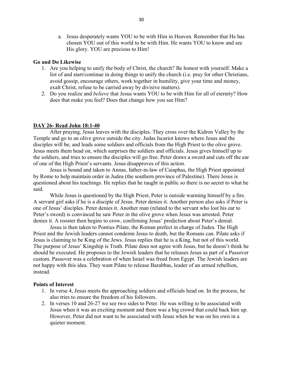a. Jesus desperately wants YOU to be with Him in Heaven. Remember that He has chosen YOU out of this world to be with Him. He wants YOU to know and see His glory. YOU are precious to Him!

#### Go and Do Likewise

- 1. Are you helping to unify the body of Christ, the church? Be honest with yourself. Make a list of and start/continue in doing things to unify the church (i.e. pray for other Christians, avoid gossip, encourage others, work together in humility, give your time and money, exalt Christ, refuse to be carried away by divisive matters).
- 2. Do you realize and *believe* that Jesus wants YOU to be with Him for all of eternity? How does that make you feel? Does that change how you see Him?

# DAY 26- Read John 18:1-40

After praying, Jesus leaves with the disciples. They cross over the Kidron Valley by the Temple and go to an olive grove outside the city. Judas Iscariot knows where Jesus and the disciples will be, and leads some soldiers and officials from the High Priest to the olive grove. Jesus meets them head on, which surprises the soldiers and officials. Jesus gives himself up to the soldiers, and tries to ensure the disciples will go free. Peter draws a sword and cuts off the ear of one of the High Priest's servants. Jesus disapproves of this action.

Jesus is bound and taken to Annas, father-in-law of Caiaphas, the High Priest appointed by Rome to help maintain order in Judea (the southern province of Palestine). There Jesus is questioned about his teachings. He replies that he taught in public so there is no secret to what he said.

While Jesus is questioned by the High Priest, Peter is outside warming himself by a fire. A servant girl asks if he is a disciple of Jesus. Peter denies it. Another person also asks if Peter is one of Jesus' disciples. Peter denies it. Another man (related to the servant who lost his ear to Peter's sword) is convinced he saw Peter in the olive grove when Jesus was arrested. Peter denies it. A rooster then begins to crow, confirming Jesus' prediction about Peter's denial.

Jesus is then taken to Pontius Pilate, the Roman prefect in charge of Judea. The High Priest and the Jewish leaders cannot condemn Jesus to death, but the Romans can. Pilate asks if Jesus is claiming to be King of the Jews. Jesus replies that he is a King, but not of this world. The purpose of Jesus' Kingship is Truth. Pilate does not agree with Jesus, but he doesn't think he should be executed. He proposes to the Jewish leaders that he releases Jesus as part of a Passover custom. Passover was a celebration of when Israel was freed from Egypt. The Jewish leaders are not happy with this idea. They want Pilate to release Barabbas, leader of an armed rebellion, instead.

- 1. In verse 4, Jesus meets the approaching soldiers and officials head on. In the process, he also tries to ensure the freedom of his followers.
- 2. In verses 10 and 26-27 we see two sides to Peter. He was willing to be associated with Jesus when it was an exciting moment and there was a big crowd that could back him up. However, Peter did not want to be associated with Jesus when he was on his own in a quieter moment.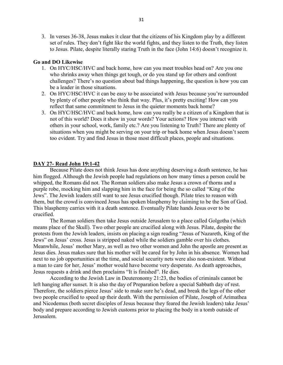3. In verses 36-38, Jesus makes it clear that the citizens of his Kingdom play by a different set of rules. They don't fight like the world fights, and they listen to the Truth, they listen to Jesus. Pilate, despite literally staring Truth in the face (John 14:6) doesn't recognize it.

#### Go and DO Likewise

- 1. On HYC/HSC/HVC and back home, how can you meet troubles head on? Are you one who shrinks away when things get tough, or do you stand up for others and confront challenges? There's no question about bad things happening, the question is how you can be a leader in those situations.
- 2. On HYC/HSC/HVC it can be easy to be associated with Jesus because you're surrounded by plenty of other people who think that way. Plus, it's pretty exciting! How can you reflect that same commitment to Jesus in the quieter moments back home?
- 3. On HYC/HSC/HVC and back home, how can you really be a citizen of a Kingdom that is not of this world? Does it show in your words? Your actions? How you interact with others in your school, work, family etc.? Are you listening to Truth? There are plenty of situations when you might be serving on your trip or back home when Jesus doesn't seem too evident. Try and find Jesus in those most difficult places, people and situations.

#### DAY 27- Read John 19:1-42

Because Pilate does not think Jesus has done anything deserving a death sentence, he has him flogged. Although the Jewish people had regulations on how many times a person could be whipped, the Romans did not. The Roman soldiers also make Jesus a crown of thorns and a purple robe, mocking him and slapping him in the face for being the so called "King of the Jews". The Jewish leaders still want to see Jesus crucified though. Pilate tries to reason with them, but the crowd is convinced Jesus has spoken blasphemy by claiming to be the Son of God. This blasphemy carries with it a death sentence. Eventually Pilate hands Jesus over to be crucified.

The Roman soldiers then take Jesus outside Jerusalem to a place called Golgotha (which means place of the Skull). Two other people are crucified along with Jesus. Pilate, despite the protests from the Jewish leaders, insists on placing a sign reading "Jesus of Nazareth, King of the Jews" on Jesus' cross. Jesus is stripped naked while the soldiers gamble over his clothes. Meanwhile, Jesus' mother Mary, as well as two other women and John the apostle are present as Jesus dies. Jesus makes sure that his mother will be cared for by John in his absence. Women had next to no job opportunities at the time, and social security nets were also non-existent. Without a man to care for her, Jesus' mother would have become very desperate. As death approaches, Jesus requests a drink and then proclaims "It is finished". He dies.

According to the Jewish Law in Deuteronomy 21:23, the bodies of criminals cannot be left hanging after sunset. It is also the day of Preparation before a special Sabbath day of rest. Therefore, the soldiers pierce Jesus' side to make sure he's dead, and break the legs of the other two people crucified to speed up their death. With the permission of Pilate, Joseph of Arimathea and Nicodemus (both secret disciples of Jesus because they feared the Jewish leaders) take Jesus' body and prepare according to Jewish customs prior to placing the body in a tomb outside of Jerusalem.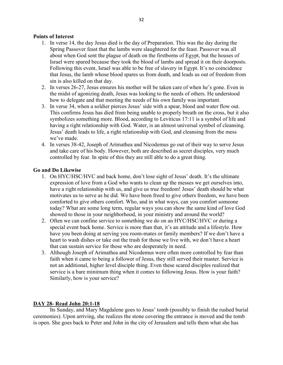# Points of Interest

- 1. In verse 14, the day Jesus died is the day of Preparation. This was the day during the Spring Passover feast that the lambs were slaughtered for the feast. Passover was all about when God sent the plague of death on the firstborns of Egypt, but the houses of Israel were spared because they took the blood of lambs and spread it on their doorposts. Following this event, Israel was able to be free of slavery in Egypt. It's no coincidence that Jesus, the lamb whose blood spares us from death, and leads us out of freedom from sin is also killed on that day.
- 2. In verses 26-27, Jesus ensures his mother will be taken care of when he's gone. Even in the midst of agonizing death, Jesus was looking to the needs of others. He understood how to delegate and that meeting the needs of his own family was important.
- 3. In verse 34, when a soldier pierces Jesus' side with a spear, blood and water flow out. This confirms Jesus has died from being unable to properly breath on the cross, but it also symbolizes something more. Blood, according to Leviticus 17:11 is a symbol of life and having a right relationship with God. Water, is an almost universal symbol of cleansing. Jesus' death leads to life, a right relationship with God, and cleansing from the mess we've made.
- 4. In verses 38-42, Joseph of Arimathea and Nicodemus go out of their way to serve Jesus and take care of his body. However, both are described as secret disciples, very much controlled by fear. In spite of this they are still able to do a great thing.

#### Go and Do Likewise

- 1. On HYC/HSC/HVC and back home, don't lose sight of Jesus' death. It's the ultimate expression of love from a God who wants to clean up the messes we get ourselves into, have a right relationship with us, and give us true freedom! Jesus' death should be what motivates us to serve as he did. We have been freed to give others freedom, we have been comforted to give others comfort. Who, and in what ways, can you comfort someone today? What are some long term, regular ways you can show the same kind of love God showed to those in your neighborhood, in your ministry and around the world?
- 2. Often we can confine service to something we do on an HYC/HSC/HVC or during a special event back home. Service is more than that, it's an attitude and a lifestyle. How have you been doing at serving you room-mates or family members? If we don't have a heart to wash dishes or take out the trash for those we live with, we don't have a heart that can sustain service for those who are desperately in need.
- 3. Although Joseph of Arimathea and Nicodemus were often more controlled by fear than faith when it came to being a follower of Jesus, they still served their master. Service is not an additional, higher level disciple thing. Even these scared disciples realized that service is a bare minimum thing when it comes to following Jesus. How is your faith? Similarly, how is your service?

#### DAY 28- Read John 20:1-18

Its Sunday, and Mary Magdalene goes to Jesus' tomb (possibly to finish the rushed burial ceremonies). Upon arriving, she realizes the stone covering the entrance is moved and the tomb is open. She goes back to Peter and John in the city of Jerusalem and tells them what she has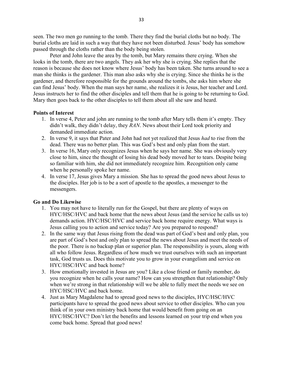seen. The two men go running to the tomb. There they find the burial cloths but no body. The burial cloths are laid in such a way that they have not been disturbed. Jesus' body has somehow passed through the cloths rather than the body being stolen.

Peter and John leave the area by the tomb, but Mary remains there crying. When she looks in the tomb, there are two angels. They ask her why she is crying. She replies that the reason is because she does not know where Jesus' body has been taken. She turns around to see a man she thinks is the gardener. This man also asks why she is crying. Since she thinks he is the gardener, and therefore responsible for the grounds around the tombs, she asks him where she can find Jesus' body. When the man says her name, she realizes it is Jesus, her teacher and Lord. Jesus instructs her to find the other disciples and tell them that he is going to be returning to God. Mary then goes back to the other disciples to tell them about all she saw and heard.

#### Points of Interest

- 1. In verse 4, Peter and john are running to the tomb after Mary tells them it's empty. They didn't walk, they didn't delay, they RAN. News about their Lord took priority and demanded immediate action.
- 2. In verse 9, it says that Pater and John had not yet realized that Jesus *had* to rise from the dead. There was no better plan. This was God's best and only plan from the start.
- 3. In verse 16, Mary only recognizes Jesus when he says her name. She was obviously very close to him, since the thought of losing his dead body moved her to tears. Despite being so familiar with him, she did not immediately recognize him. Recognition only came when he personally spoke her name.
- 4. In verse 17, Jesus gives Mary a mission. She has to spread the good news about Jesus to the disciples. Her job is to be a sort of apostle to the apostles, a messenger to the messengers.

#### Go and Do Likewise

- 1. You may not have to literally run for the Gospel, but there are plenty of ways on HYC/HSC/HVC and back home that the news about Jesus (and the service he calls us to) demands action. HYC/HSC/HVC and service back home require energy. What ways is Jesus calling you to action and service today? Are you prepared to respond?
- 2. In the same way that Jesus rising from the dead was part of God's best and only plan, you are part of God's best and only plan to spread the news about Jesus and meet the needs of the poor. There is no backup plan or superior plan. The responsibility is yours, along with all who follow Jesus. Regardless of how much we trust ourselves with such an important task, God trusts us. Does this motivate you to grow in your evangelism and service on HYC/HSC/HVC and back home?
- 3. How emotionally invested in Jesus are you? Like a close friend or family member, do you recognize when he calls your name? How can you strengthen that relationship? Only when we're strong in that relationship will we be able to fully meet the needs we see on HYC/HSC/HVC and back home.
- 4. Just as Mary Magdalene had to spread good news to the disciples, HYC/HSC/HVC participants have to spread the good news about service to other disciples. Who can you think of in your own ministry back home that would benefit from going on an HYC/HSC/HVC? Don't let the benefits and lessons learned on your trip end when you come back home. Spread that good news!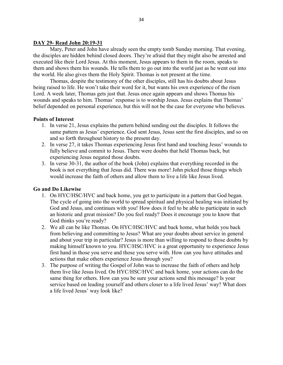# DAY 29- Read John 20:19-31

Mary, Peter and John have already seen the empty tomb Sunday morning. That evening, the disciples are hidden behind closed doors. They're afraid that they might also be arrested and executed like their Lord Jesus. At this moment, Jesus appears to them in the room, speaks to them and shows them his wounds. He tells them to go out into the world just as he went out into the world. He also gives them the Holy Spirit. Thomas is not present at the time.

Thomas, despite the testimony of the other disciples, still has his doubts about Jesus being raised to life. He won't take their word for it, but wants his own experience of the risen Lord. A week later, Thomas gets just that. Jesus once again appears and shows Thomas his wounds and speaks to him. Thomas' response is to worship Jesus. Jesus explains that Thomas' belief depended on personal experience, but this will not be the case for everyone who believes.

# Points of Interest

- 1. In verse 21, Jesus explains the pattern behind sending out the disciples. It follows the same pattern as Jesus' experience. God sent Jesus, Jesus sent the first disciples, and so on and so forth throughout history to the present day.
- 2. In verse 27, it takes Thomas experiencing Jesus first hand and touching Jesus' wounds to fully believe and commit to Jesus. There were doubts that held Thomas back, but experiencing Jesus negated those doubts.
- 3. In verse 30-31, the author of the book (John) explains that everything recorded in the book is not everything that Jesus did. There was more! John picked those things which would increase the faith of others and allow them to live a life like Jesus lived.

# Go and Do Likewise

- 1. On HYC/HSC/HVC and back home, you get to participate in a pattern that God began. The cycle of going into the world to spread spiritual and physical healing was initiated by God and Jesus, and continues with you! How does it feel to be able to participate in such an historic and great mission? Do you feel ready? Does it encourage you to know that God thinks you're ready?
- 2. We all can be like Thomas. On HYC/HSC/HVC and back home, what holds you back from believing and committing to Jesus? What are your doubts about service in general and about your trip in particular? Jesus is more than willing to respond to those doubts by making himself known to you. HYC/HSC/HVC is a great opportunity to experience Jesus first hand in those you serve and those you serve with. How can you have attitudes and actions that make others experience Jesus through you?
- 3. The purpose of writing the Gospel of John was to increase the faith of others and help them live like Jesus lived. On HYC/HSC/HVC and back home, your actions can do the same thing for others. How can you be sure your actions send this message? Is your service based on leading yourself and others closer to a life lived Jesus' way? What does a life lived Jesus' way look like?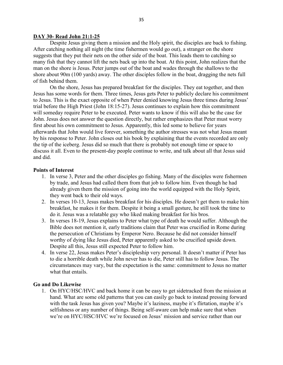#### DAY 30- Read John 21:1-25

Despite Jesus giving them a mission and the Holy spirit, the disciples are back to fishing. After catching nothing all night (the time fishermen would go out), a stranger on the shore suggests that they put their nets on the other side of the boat. This leads them to catching so many fish that they cannot lift the nets back up into the boat. At this point, John realizes that the man on the shore is Jesus. Peter jumps out of the boat and wades through the shallows to the shore about 90m (100 yards) away. The other disciples follow in the boat, dragging the nets full of fish behind them.

On the shore, Jesus has prepared breakfast for the disciples. They eat together, and then Jesus has some words for them. Three times, Jesus gets Peter to publicly declare his commitment to Jesus. This is the exact opposite of when Peter denied knowing Jesus three times during Jesus' trial before the High Priest (John 18:15-27). Jesus continues to explain how this commitment will someday require Peter to be executed. Peter wants to know if this will also be the case for John. Jesus does not answer the question directly, but rather emphasizes that Peter must worry first about his own commitment to Jesus. Apparently, this led some to believe for years afterwards that John would live forever, something the author stresses was not what Jesus meant by his response to Peter. John closes out his book by explaining that the events recorded are only the tip of the iceberg. Jesus did so much that there is probably not enough time or space to discuss it all. Even to the present-day people continue to write, and talk about all that Jesus said and did.

# Points of Interest

- 1. In verse 3, Peter and the other disciples go fishing. Many of the disciples were fishermen by trade, and Jesus had called them from that job to follow him. Even though he had already given them the mission of going into the world equipped with the Holy Spirit, they went back to their old ways.
- 2. In verses 10-13, Jesus makes breakfast for his disciples. He doesn't get them to make him breakfast, he makes it for them. Despite it being a small gesture, he still took the time to do it. Jesus was a relatable guy who liked making breakfast for his bros.
- 3. In verses 18-19, Jesus explains to Peter what type of death he would suffer. Although the Bible does not mention it, early traditions claim that Peter was crucified in Rome during the persecution of Christians by Emperor Nero. Because he did not consider himself worthy of dying like Jesus died, Peter apparently asked to be crucified upside down. Despite all this, Jesus still expected Peter to follow him.
- 4. In verse 22, Jesus makes Peter's discipleship very personal. It doesn't matter if Peter has to die a horrible death while John never has to die, Peter still has to follow Jesus. The circumstances may vary, but the expectation is the same: commitment to Jesus no matter what that entails.

# Go and Do Likewise

1. On HYC/HSC/HVC and back home it can be easy to get sidetracked from the mission at hand. What are some old patterns that you can easily go back to instead pressing forward with the task Jesus has given you? Maybe it's laziness, maybe it's flirtation, maybe it's selfishness or any number of things. Being self-aware can help make sure that when we're on HYC/HSC/HVC we're focused on Jesus' mission and service rather than our